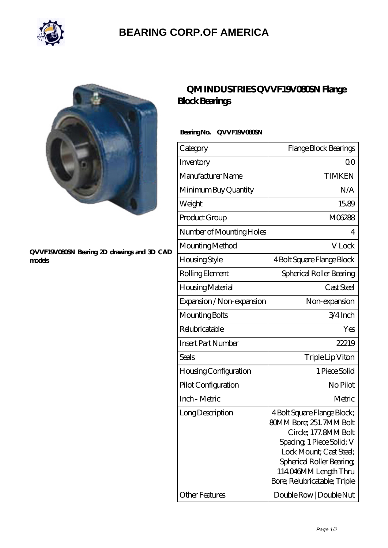

## **[BEARING CORP.OF AMERICA](https://bluemondayreview.com)**



#### **[QVVF19V080SN Bearing 2D drawings and 3D CAD](https://bluemondayreview.com/pic-175402.html) [models](https://bluemondayreview.com/pic-175402.html)**

### **[QM INDUSTRIES QVVF19V080SN Flange](https://bluemondayreview.com/bs-175402-qm-industries-qvvf19v080sn-flange-block-bearings.html) [Block Bearings](https://bluemondayreview.com/bs-175402-qm-industries-qvvf19v080sn-flange-block-bearings.html)**

### **Bearing No. QVVF19V080SN**

| Category                     | Flange Block Bearings                                                                                                                                                                                                     |
|------------------------------|---------------------------------------------------------------------------------------------------------------------------------------------------------------------------------------------------------------------------|
| Inventory                    | 00                                                                                                                                                                                                                        |
| Manufacturer Name            | <b>TIMKEN</b>                                                                                                                                                                                                             |
| Minimum Buy Quantity         | N/A                                                                                                                                                                                                                       |
| Weight                       | 1589                                                                                                                                                                                                                      |
| Product Group                | M06288                                                                                                                                                                                                                    |
| Number of Mounting Holes     | 4                                                                                                                                                                                                                         |
| Mounting Method              | V Lock                                                                                                                                                                                                                    |
| Housing Style                | 4 Bolt Square Flange Block                                                                                                                                                                                                |
| Rolling Element              | Spherical Roller Bearing                                                                                                                                                                                                  |
| Housing Material             | Cast Steel                                                                                                                                                                                                                |
| Expansion / Non-expansion    | Non-expansion                                                                                                                                                                                                             |
| Mounting Bolts               | $3/4$ Inch                                                                                                                                                                                                                |
| Relubricatable               | Yes                                                                                                                                                                                                                       |
| <b>Insert Part Number</b>    | 22219                                                                                                                                                                                                                     |
| Seals                        | Triple Lip Viton                                                                                                                                                                                                          |
| <b>Housing Configuration</b> | 1 Piece Solid                                                                                                                                                                                                             |
| Pilot Configuration          | No Pilot                                                                                                                                                                                                                  |
| Inch - Metric                | Metric                                                                                                                                                                                                                    |
| Long Description             | 4 Bolt Square Flange Block;<br>80MM Bore; 251.7MM Bolt<br>Circle; 177.8MM Bolt<br>Spacing 1 Piece Solid; V<br>Lock Mount; Cast Steel;<br>Spherical Roller Bearing<br>114046MM Length Thru<br>Bore; Relubricatable; Triple |
| Other Features               | Double Row   Double Nut                                                                                                                                                                                                   |